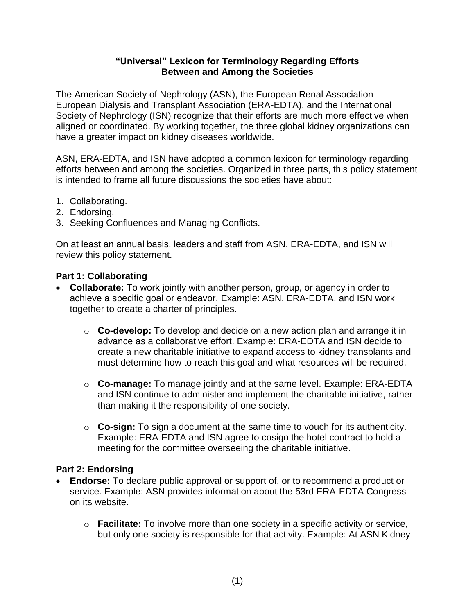## **"Universal" Lexicon for Terminology Regarding Efforts Between and Among the Societies**

The American Society of Nephrology (ASN), the European Renal Association– European Dialysis and Transplant Association (ERA-EDTA), and the International Society of Nephrology (ISN) recognize that their efforts are much more effective when aligned or coordinated. By working together, the three global kidney organizations can have a greater impact on kidney diseases worldwide.

ASN, ERA-EDTA, and ISN have adopted a common lexicon for terminology regarding efforts between and among the societies. Organized in three parts, this policy statement is intended to frame all future discussions the societies have about:

- 1. Collaborating.
- 2. Endorsing.
- 3. Seeking Confluences and Managing Conflicts.

On at least an annual basis, leaders and staff from ASN, ERA-EDTA, and ISN will review this policy statement.

## **Part 1: Collaborating**

- **Collaborate:** To work jointly with another person, group, or agency in order to achieve a specific goal or endeavor. Example: ASN, ERA-EDTA, and ISN work together to create a charter of principles.
	- o **Co-develop:** To develop and decide on a new action plan and arrange it in advance as a collaborative effort. Example: ERA-EDTA and ISN decide to create a new charitable initiative to expand access to kidney transplants and must determine how to reach this goal and what resources will be required.
	- o **Co-manage:** To manage jointly and at the same level. Example: ERA-EDTA and ISN continue to administer and implement the charitable initiative, rather than making it the responsibility of one society.
	- o **Co-sign:** To sign a document at the same time to vouch for its authenticity. Example: ERA-EDTA and ISN agree to cosign the hotel contract to hold a meeting for the committee overseeing the charitable initiative.

## **Part 2: Endorsing**

- **Endorse:** To declare public approval or support of, or to recommend a product or service. Example: ASN provides information about the 53rd ERA-EDTA Congress on its website.
	- o **Facilitate:** To involve more than one society in a specific activity or service, but only one society is responsible for that activity. Example: At ASN Kidney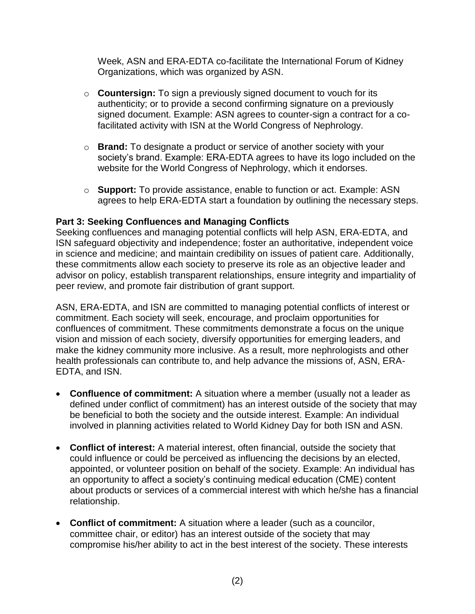Week, ASN and ERA-EDTA co-facilitate the International Forum of Kidney Organizations, which was organized by ASN.

- o **Countersign:** To sign a previously signed document to vouch for its authenticity; or to provide a second confirming signature on a previously signed document. Example: ASN agrees to counter-sign a contract for a cofacilitated activity with ISN at the World Congress of Nephrology.
- o **Brand:** To designate a product or service of another society with your society's brand. Example: ERA-EDTA agrees to have its logo included on the website for the World Congress of Nephrology, which it endorses.
- o **Support:** To provide assistance, enable to function or act. Example: ASN agrees to help ERA-EDTA start a foundation by outlining the necessary steps.

## **Part 3: Seeking Confluences and Managing Conflicts**

Seeking confluences and managing potential conflicts will help ASN, ERA-EDTA, and ISN safeguard objectivity and independence; foster an authoritative, independent voice in science and medicine; and maintain credibility on issues of patient care. Additionally, these commitments allow each society to preserve its role as an objective leader and advisor on policy, establish transparent relationships, ensure integrity and impartiality of peer review, and promote fair distribution of grant support.

ASN, ERA-EDTA, and ISN are committed to managing potential conflicts of interest or commitment. Each society will seek, encourage, and proclaim opportunities for confluences of commitment. These commitments demonstrate a focus on the unique vision and mission of each society, diversify opportunities for emerging leaders, and make the kidney community more inclusive. As a result, more nephrologists and other health professionals can contribute to, and help advance the missions of, ASN, ERA-EDTA, and ISN.

- **Confluence of commitment:** A situation where a member (usually not a leader as defined under conflict of commitment) has an interest outside of the society that may be beneficial to both the society and the outside interest. Example: An individual involved in planning activities related to World Kidney Day for both ISN and ASN.
- **Conflict of interest:** A material interest, often financial, outside the society that could influence or could be perceived as influencing the decisions by an elected, appointed, or volunteer position on behalf of the society. Example: An individual has an opportunity to affect a society's continuing medical education (CME) content about products or services of a commercial interest with which he/she has a financial relationship.
- **Conflict of commitment:** A situation where a leader (such as a councilor, committee chair, or editor) has an interest outside of the society that may compromise his/her ability to act in the best interest of the society. These interests